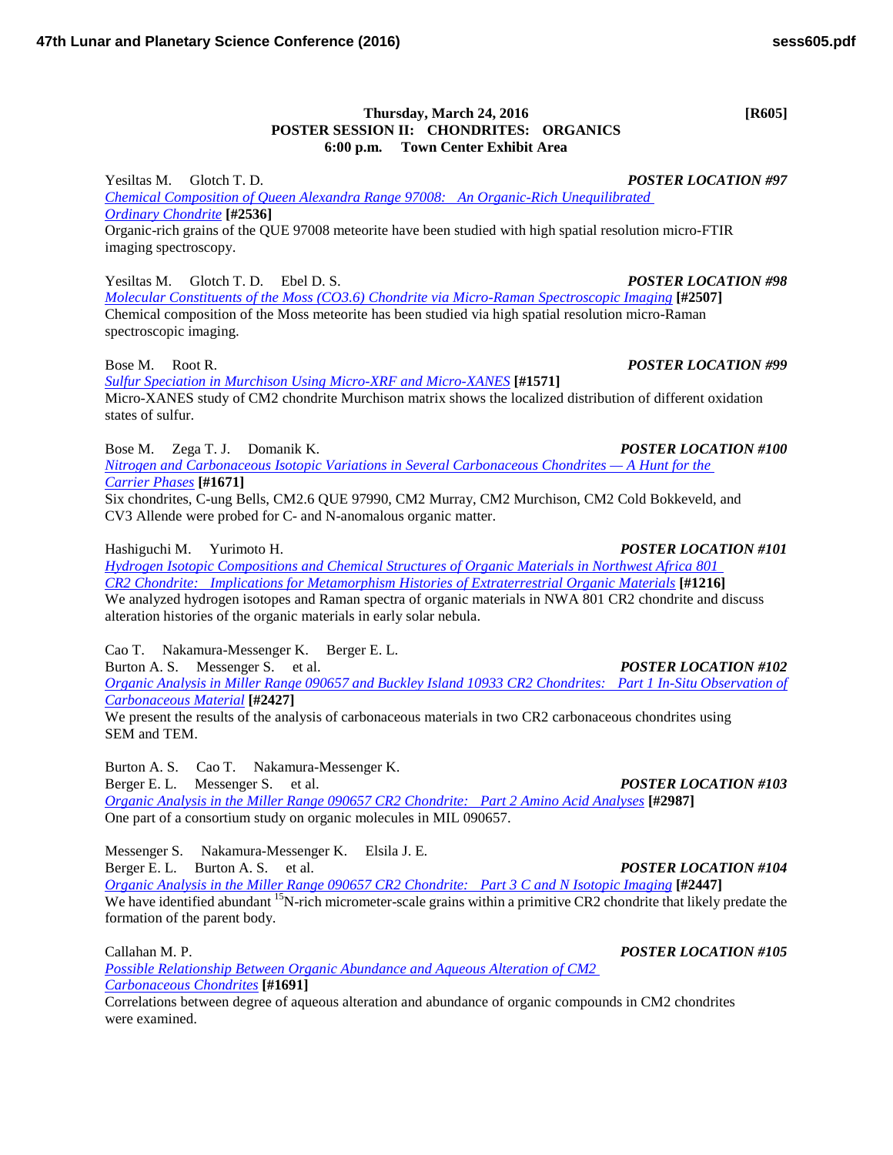## **Thursday, March 24, 2016 [R605] POSTER SESSION II: CHONDRITES: ORGANICS 6:00 p.m. Town Center Exhibit Area**

Yesiltas M. Glotch T. D. *POSTER LOCATION #97 [Chemical Composition of Queen Alexandra Range 97008: An Organic-Rich Unequilibrated](http://www.hou.usra.edu/meetings/lpsc2016/pdf/2536.pdf)  Ordinary [Chondrite](http://www.hou.usra.edu/meetings/lpsc2016/pdf/2536.pdf)* **[#2536]** Organic-rich grains of the QUE 97008 meteorite have been studied with high spatial resolution micro-FTIR imaging spectroscopy.

Yesiltas M. Glotch T. D. Ebel D. S. *POSTER LOCATION #98*

*[Molecular Constituents of the Moss \(CO3.6\) Chondrite via Micro-Raman Spectroscopic](http://www.hou.usra.edu/meetings/lpsc2016/pdf/2507.pdf) Imaging* **[#2507]** Chemical composition of the Moss meteorite has been studied via high spatial resolution micro-Raman spectroscopic imaging.

Bose M. Root R. *POSTER LOCATION #99*

*[Sulfur Speciation in Murchison Using Micro-XRF and](http://www.hou.usra.edu/meetings/lpsc2016/pdf/1571.pdf) Micro-XANES* **[#1571]** Micro-XANES study of CM2 chondrite Murchison matrix shows the localized distribution of different oxidation states of sulfur.

Bose M. Zega T. J. Domanik K. *POSTER LOCATION #100*

*[Nitrogen and Carbonaceous Isotopic Variations in Several Carbonaceous Chondrites —](http://www.hou.usra.edu/meetings/lpsc2016/pdf/1671.pdf) A Hunt for the [Carrier](http://www.hou.usra.edu/meetings/lpsc2016/pdf/1671.pdf) Phases* **[#1671]**

Six chondrites, C-ung Bells, CM2.6 QUE 97990, CM2 Murray, CM2 Murchison, CM2 Cold Bokkeveld, and CV3 Allende were probed for C- and N-anomalous organic matter.

Hashiguchi M. Yurimoto H. *POSTER LOCATION #101*

*[Hydrogen Isotopic Compositions and Chemical Structures of Organic Materials in Northwest Africa 801](http://www.hou.usra.edu/meetings/lpsc2016/pdf/1216.pdf)  CR2 [Chondrite: Implications for Metamorphism Histories of Extraterrestrial Organic](http://www.hou.usra.edu/meetings/lpsc2016/pdf/1216.pdf) Materials* **[#1216]** We analyzed hydrogen isotopes and Raman spectra of organic materials in NWA 801 CR2 chondrite and discuss alteration histories of the organic materials in early solar nebula.

Cao T. Nakamura-Messenger K. Berger E. L.

Burton A. S. Messenger S. et al. *POSTER LOCATION #102 [Organic Analysis in Miller Range 090657 and Buckley Island 10933 CR2](http://www.hou.usra.edu/meetings/lpsc2016/pdf/2427.pdf) Chondrites: Part 1 In-Situ Observation of [Carbonaceous](http://www.hou.usra.edu/meetings/lpsc2016/pdf/2427.pdf) Material* **[#2427]**

We present the results of the analysis of carbonaceous materials in two CR2 carbonaceous chondrites using SEM and TEM.

Burton A. S. Cao T. Nakamura-Messenger K. Berger E. L. Messenger S. et al. *POSTER LOCATION #103 [Organic Analysis in the Miller Range 090657 CR2](http://www.hou.usra.edu/meetings/lpsc2016/pdf/2987.pdf) Chondrite: Part 2 Amino Acid Analyses* **[#2987]** One part of a consortium study on organic molecules in MIL 090657.

Messenger S. Nakamura-Messenger K. Elsila J. E.

Berger E. L. Burton A. S. et al. *POSTER LOCATION #104 [Organic Analysis in the Miller Range 090657 CR2](http://www.hou.usra.edu/meetings/lpsc2016/pdf/2447.pdf) Chondrite: Part 3 C and N Isotopic Imaging* **[#2447]** We have identified abundant <sup>15</sup>N-rich micrometer-scale grains within a primitive CR2 chondrite that likely predate the formation of the parent body.

Callahan M. P. *POSTER LOCATION #105*

*Possible Relationship Between Organic [Abundance and Aqueous Alteration of CM2](http://www.hou.usra.edu/meetings/lpsc2016/pdf/1691.pdf)  [Carbonaceous](http://www.hou.usra.edu/meetings/lpsc2016/pdf/1691.pdf) Chondrites* **[#1691]**

Correlations between degree of aqueous alteration and abundance of organic compounds in CM2 chondrites were examined.